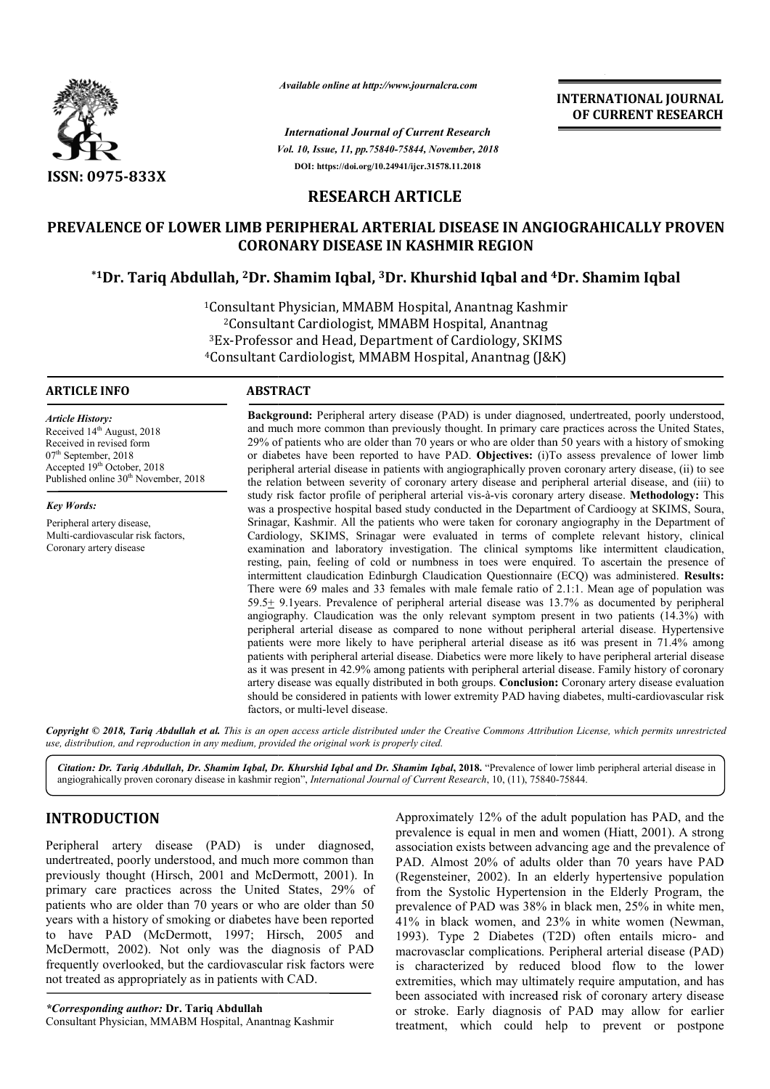

*Available online at http://www.journalcra.com*

*Vol. 10, Issue, 11, pp.75840-75844, November, 2018 International Journal of Current Research* **DOI: https://doi.org/10.24941/ijcr.31578.11.2018**

# **INTERNATIONAL JOURNAL OF CURRENT RESEARCH**

# **RESEARCH ARTICLE**

# **PREVALENCE OF LOWER LIMB PERIPHERAL ARTERIAL DISEASE IN ANGIOGRAHICALLY PROVEN CORONARY DISEASE IN KASHMIR REGION** PREVALENCE OF LOWER LIMB PERIPHERAL ARTERIAL DISEASE IN ANGIOGRAHICALLY PI<br>CORONARY DISEASE IN KASHMIR REGION<br><sup>1</sup>Dr. Tariq Abdullah, <sup>2</sup>Dr. Shamim Iqbal, <sup>3</sup>Dr. Khurshid Iqbal and <sup>4</sup>Dr. Shamim Iqbal<sup>\*</sup>

1Consultant Physician, MMABM Hospital, Anantnag Kashmir 2Consultant Cardiologist, MMABM Hospital, Anantnag 3Ex-Professor and Head, Department of Cardiology, SKIMS <sup>1</sup>Consultant Physician, MMABM Hospital, Anantnag Kashmii<br><sup>2</sup>Consultant Cardiologist, MMABM Hospital, Anantnag<br><sup>3</sup>Ex-Professor and Head, Department of Cardiology, SKIMS<br><sup>4</sup>Consultant Cardiologist, MMABM Hospital, Anantnag

#### **ARTICLE INFO ABSTRACT**

*Article History:* Received 14<sup>th</sup> August, 2018 Received in revised form 07<sup>th</sup> September, 2018 Accepted 19<sup>th</sup> October, 2018 Published online 30<sup>th</sup> November, 2018

*Key Words:*

Peripheral artery disease, Multi-cardiovascular risk factors, Coronary artery disease

Background: Peripheral artery disease (PAD) is under diagnosed, undertreated, poorly understood, and much more common than previously thought. In primary care practices across the United States, 29% of patients who are older than 70 years or who are older than 50 years with a history of smoking or diabetes have been reported to have PAD. **Objectives:** (i)To assess prevalence of lower limb peripheral a arterial disease in patients with angiographically proven coronary artery disease, (ii) to see the relation between severity of coronary artery disease and peripheral arterial disease, and (iii) to study risk factor profile of peripheral arterial vis-à-vis coronary artery disease. was a prospective hospital based study conducted in the Department of Cardioogy at SKIMS, Soura, Srinagar, Kashmir. All the patients who were taken for coronary angiography in the Department of Cardiology, SKIMS, Srinagar were evaluated in terms of complete relevant history, clinical examination and laboratory investigation. The clinical symptoms like intermittent claudication, resting, pain, feeling of cold or numbness in toes were enquired. To ascertain the prese intermittent claudication Edinburgh Claudication Questionnaire (ECQ) was administered. Results: There were 69 males and 33 females with male female ratio of 2.1:1. Mean age of population was 59.5+ 9.1years. Prevalence of peripheral arterial disease was 13.7% as documented by peripheral angiography. Claudication was the only relevant symptom present in two patients (14.3%) with peripheral arterial disease as compared to none without peripheral arterial disease. Hypertensive patients were more likely to have peripheral arterial disease as it6 was present in 71.4% among patients with peripheral arterial disease. Diabetics were more likely to have peripheral arterial disease as it was present in 42.9% among patients with peripheral arterial disease. Family history of coronary artery disease was equally distributed in both groups. **Conclusion:**  Coronary artery disease evaluation should be considered in patients with lower extremity PAD having diabetes, multi-cardiovascular risk factors, or multi-level disease. and much more common than previously thought. In primary care practices across the United States, 29% of patients who are older than 70 years or who are older than 50 years with a history of smoking or diabetes have been r was a prospective hospital based study conducted in the Department of Cardioogy at SKIMS, Soura, Srinagar, Kashmir. All the patients who were taken for coronary angiography in the Department of Cardiology, SKIMS, Srinagar There were 69 males and 33 females with male female ratio of 2.1:1. Mean age of population was  $59.5\pm$  9.1years. Prevalence of peripheral arterial disease was 13.7% as documented by peripheral angiography. Claudication w **INTERNATIONAL JOURNAL FROM SET ASSEMBATION CONSUMPARENT RESERVATION (AT A ANOTHIMAL FOR THE ANOTHIMAL FOR STROKENT RESERVATION (FIGURE 1673) 3018 (FIGURE 1673) 3138 (FIGURE 1673) 3138 (FIGURE 1674) 4138 (FIGURE 1674) 4138** 

Copyright © 2018, Tariq Abdullah et al. This is an open access article distributed under the Creative Commons Attribution License, which permits unrestricted *use, distribution, and reproduction in any medium, provided the original work is properly cited.*

Citation: Dr. Tariq Abdullah, Dr. Shamim Iqbal, Dr. Khurshid Iqbal and Dr. Shamim Iqbal, 2018. "Prevalence of lower limb peripheral arterial disease in<br>angiograhically proven coronary disease in kashmir region", *Internati* angiograhically proven coronary disease in kashmir region", *International Journal of Current Research*, 10, (11), 75840-

# **INTRODUCTION**

Peripheral artery disease (PAD) is under diagnosed, undertreated, poorly understood, and much more common than previously thought (Hirsch, 2001 and McDermott, 2001). In primary care practices across the United States, 29% of patients who are older than 70 years or who are older than 50 years with a history of smoking or diabetes have been reported to have PAD (McDermott, 1997; Hirsch, 2005 and McDermott, 2002). Not only was the diagnosis of PAD frequently overlooked, but the cardiovascular risk factors were not treated as appropriately as in patients with CAD.

*\*Corresponding author:* **Dr. Tariq Abdullah** Consultant Physician, MMABM Hospital, Anantnag Kashmir Approximately 12% of the adult population has PAD, and the Approximately 12% of the adult population has PAD, and the prevalence is equal in men and women (Hiatt, 2001). A strong association exists between advancing age and the prevalence of PAD. Almost 20% of adults older than 70 years have PAD (Regensteiner, 2002). In an elderly hypertensive population from the Systolic Hypertension in the Elderly Program, the prevalence of PAD was 38% in black men, 25% in white men, 41% in black women, and 23% in white women 1993). Type 2 Diabetes (T2D) often entails micro- and macrovasclar complications. Peripheral arterial disease (PAD) is characterized by reduced blood flow to the lower extremities, which may ultimately require amputation, and has been associated with increased risk of coronary artery disease or stroke. Early diagnosis of PAD may allow for earlier treatment, which could help to prevent or postpone 20% of adults older than 70 years have PAD 2002). In an elderly hypertensive population blic Hypertension in the Elderly Program, the PAD was 38% in black men, 25% in white men, women, and 23% in white women (Newman,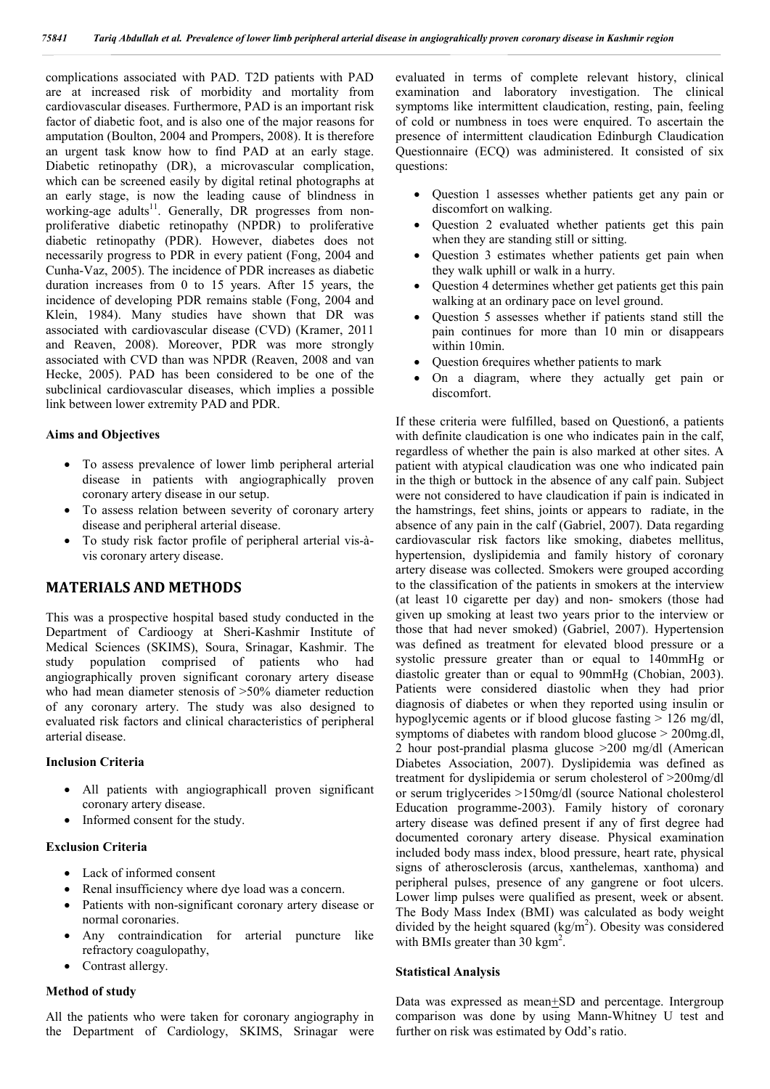complications associated with PAD. T2D patients with PAD are at increased risk of morbidity and mortality from cardiovascular diseases. Furthermore, PAD is an important risk factor of diabetic foot, and is also one of the major reasons for amputation (Boulton, 2004 and Prompers, 2008). It is therefore an urgent task know how to find PAD at an early stage. Diabetic retinopathy (DR), a microvascular complication, which can be screened easily by digital retinal photographs at an early stage, is now the leading cause of blindness in working-age adults<sup>11</sup>. Generally, DR progresses from nonproliferative diabetic retinopathy (NPDR) to proliferative diabetic retinopathy (PDR). However, diabetes does not necessarily progress to PDR in every patient (Fong, 2004 and Cunha-Vaz, 2005). The incidence of PDR increases as diabetic duration increases from 0 to 15 years. After 15 years, the incidence of developing PDR remains stable (Fong, 2004 and Klein, 1984). Many studies have shown that DR was associated with cardiovascular disease (CVD) (Kramer, 2011 and Reaven, 2008). Moreover, PDR was more strongly associated with CVD than was NPDR (Reaven, 2008 and van Hecke, 2005). PAD has been considered to be one of the subclinical cardiovascular diseases, which implies a possible link between lower extremity PAD and PDR.

#### **Aims and Objectives**

- To assess prevalence of lower limb peripheral arterial disease in patients with angiographically proven coronary artery disease in our setup.
- To assess relation between severity of coronary artery disease and peripheral arterial disease.
- To study risk factor profile of peripheral arterial vis-àvis coronary artery disease.

### **MATERIALS AND METHODS**

This was a prospective hospital based study conducted in the Department of Cardioogy at Sheri-Kashmir Institute of Medical Sciences (SKIMS), Soura, Srinagar, Kashmir. The study population comprised of patients who had angiographically proven significant coronary artery disease who had mean diameter stenosis of >50% diameter reduction of any coronary artery. The study was also designed to evaluated risk factors and clinical characteristics of peripheral arterial disease.

#### **Inclusion Criteria**

- All patients with angiographicall proven significant coronary artery disease.
- Informed consent for the study.

#### **Exclusion Criteria**

- Lack of informed consent
- Renal insufficiency where dye load was a concern.
- Patients with non-significant coronary artery disease or normal coronaries.
- Any contraindication for arterial puncture like refractory coagulopathy,
- Contrast allergy.

#### **Method of study**

All the patients who were taken for coronary angiography in the Department of Cardiology, SKIMS, Srinagar were evaluated in terms of complete relevant history, clinical examination and laboratory investigation. The clinical symptoms like intermittent claudication, resting, pain, feeling of cold or numbness in toes were enquired. To ascertain the presence of intermittent claudication Edinburgh Claudication Questionnaire (ECQ) was administered. It consisted of six questions:

- Question 1 assesses whether patients get any pain or discomfort on walking.
- Question 2 evaluated whether patients get this pain when they are standing still or sitting.
- Question 3 estimates whether patients get pain when they walk uphill or walk in a hurry.
- Question 4 determines whether get patients get this pain walking at an ordinary pace on level ground.
- Question 5 assesses whether if patients stand still the pain continues for more than 10 min or disappears within 10min.
- Question 6requires whether patients to mark
- On a diagram, where they actually get pain or discomfort.

If these criteria were fulfilled, based on Question6, a patients with definite claudication is one who indicates pain in the calf, regardless of whether the pain is also marked at other sites. A patient with atypical claudication was one who indicated pain in the thigh or buttock in the absence of any calf pain. Subject were not considered to have claudication if pain is indicated in the hamstrings, feet shins, joints or appears to radiate, in the absence of any pain in the calf (Gabriel, 2007). Data regarding cardiovascular risk factors like smoking, diabetes mellitus, hypertension, dyslipidemia and family history of coronary artery disease was collected. Smokers were grouped according to the classification of the patients in smokers at the interview (at least 10 cigarette per day) and non- smokers (those had given up smoking at least two years prior to the interview or those that had never smoked) (Gabriel, 2007). Hypertension was defined as treatment for elevated blood pressure or a systolic pressure greater than or equal to 140mmHg or diastolic greater than or equal to 90mmHg (Chobian, 2003). Patients were considered diastolic when they had prior diagnosis of diabetes or when they reported using insulin or hypoglycemic agents or if blood glucose fasting > 126 mg/dl, symptoms of diabetes with random blood glucose > 200mg.dl, 2 hour post-prandial plasma glucose >200 mg/dl (American Diabetes Association, 2007). Dyslipidemia was defined as treatment for dyslipidemia or serum cholesterol of >200mg/dl or serum triglycerides >150mg/dl (source National cholesterol Education programme-2003). Family history of coronary artery disease was defined present if any of first degree had documented coronary artery disease. Physical examination included body mass index, blood pressure, heart rate, physical signs of atherosclerosis (arcus, xanthelemas, xanthoma) and peripheral pulses, presence of any gangrene or foot ulcers. Lower limp pulses were qualified as present, week or absent. The Body Mass Index (BMI) was calculated as body weight divided by the height squared  $(kg/m<sup>2</sup>)$ . Obesity was considered with BMIs greater than 30 kgm<sup>2</sup>.

#### **Statistical Analysis**

Data was expressed as mean+SD and percentage. Intergroup comparison was done by using Mann-Whitney U test and further on risk was estimated by Odd's ratio.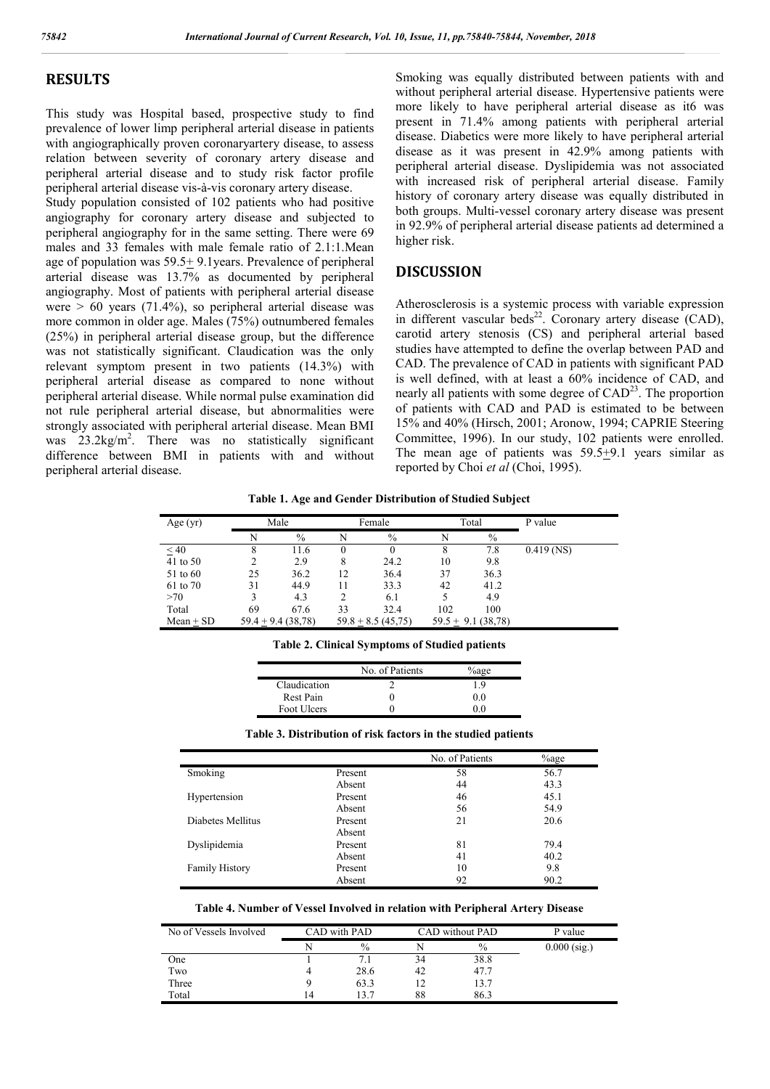## **RESULTS**

This study was Hospital based, prospective study to find prevalence of lower limp peripheral arterial disease in patients with angiographically proven coronaryartery disease, to assess relation between severity of coronary artery disease and peripheral arterial disease and to study risk factor profile peripheral arterial disease vis-à-vis coronary artery disease.

Study population consisted of 102 patients who had positive angiography for coronary artery disease and subjected to peripheral angiography for in the same setting. There were 69 males and 33 females with male female ratio of 2.1:1.Mean age of population was  $59.5 \pm 9.1$ years. Prevalence of peripheral arterial disease was 13.7% as documented by peripheral angiography. Most of patients with peripheral arterial disease were  $> 60$  years (71.4%), so peripheral arterial disease was more common in older age. Males (75%) outnumbered females (25%) in peripheral arterial disease group, but the difference was not statistically significant. Claudication was the only relevant symptom present in two patients (14.3%) with peripheral arterial disease as compared to none without peripheral arterial disease. While normal pulse examination did not rule peripheral arterial disease, but abnormalities were strongly associated with peripheral arterial disease. Mean BMI was  $23.2\text{kg/m}^2$ . There was no statistically significant difference between BMI in patients with and without peripheral arterial disease.

Smoking was equally distributed between patients with and without peripheral arterial disease. Hypertensive patients were more likely to have peripheral arterial disease as it6 was present in 71.4% among patients with peripheral arterial disease. Diabetics were more likely to have peripheral arterial disease as it was present in 42.9% among patients with peripheral arterial disease. Dyslipidemia was not associated with increased risk of peripheral arterial disease. Family history of coronary artery disease was equally distributed in both groups. Multi-vessel coronary artery disease was present in 92.9% of peripheral arterial disease patients ad determined a higher risk.

### **DISCUSSION**

Atherosclerosis is a systemic process with variable expression in different vascular beds<sup>22</sup>. Coronary artery disease (CAD), carotid artery stenosis (CS) and peripheral arterial based studies have attempted to define the overlap between PAD and CAD. The prevalence of CAD in patients with significant PAD is well defined, with at least a 60% incidence of CAD, and nearly all patients with some degree of  $CAD<sup>23</sup>$ . The proportion of patients with CAD and PAD is estimated to be between 15% and 40% (Hirsch, 2001; Aronow, 1994; CAPRIE Steering Committee, 1996). In our study, 102 patients were enrolled. The mean age of patients was 59.5+9.1 years similar as reported by Choi *et al* (Choi, 1995).

**Table 1. Age and Gender Distribution of Studied Subject**

| Age $(yr)$  | Male |                     | Female   |                     | Total |                     | P value      |
|-------------|------|---------------------|----------|---------------------|-------|---------------------|--------------|
|             | N    | $\%$                | N        | $\%$                | N     | $\%$                |              |
| < 40        | 8    | 11.6                | $\theta$ | $^{(1)}$            | 8     | 7.8                 | $0.419$ (NS) |
| 41 to 50    | 2    | 2.9                 | 8        | 24.2                | 10    | 9.8                 |              |
| 51 to 60    | 25   | 36.2                | 12       | 36.4                | 37    | 36.3                |              |
| 61 to 70    | 31   | 44.9                | 11       | 33.3                | 42    | 41.2                |              |
| >70         |      | 4.3                 |          | 6.1                 |       | 4.9                 |              |
| Total       | 69   | 67.6                | 33       | 32.4                | 102   | 100                 |              |
| $Mean + SD$ |      | $59.4 + 9.4(38.78)$ |          | $59.8 + 8.5(45,75)$ |       | $59.5 + 9.1(38,78)$ |              |

|  | <b>Table 2. Clinical Symptoms of Studied patients</b> |  |  |  |
|--|-------------------------------------------------------|--|--|--|
|--|-------------------------------------------------------|--|--|--|

|              | No. of Patients | $\%$ age |
|--------------|-----------------|----------|
| Claudication |                 | 1.9      |
| Rest Pain    |                 | 0.0      |
| Foot Ulcers  |                 |          |

|                       |         | No. of Patients | %age |
|-----------------------|---------|-----------------|------|
| Smoking               | Present | 58              | 56.7 |
|                       | Absent  | 44              | 43.3 |
| Hypertension          | Present | 46              | 45.1 |
|                       | Absent  | 56              | 54.9 |
| Diabetes Mellitus     | Present | 21              | 20.6 |
|                       | Absent  |                 |      |
| Dyslipidemia          | Present | 81              | 79.4 |
|                       | Absent  | 41              | 40.2 |
| <b>Family History</b> | Present | 10              | 9.8  |
|                       | Absent  | 92              | 90.2 |

**Table 3. Distribution of risk factors in the studied patients**

#### **Table 4. Number of Vessel Involved in relation with Peripheral Artery Disease**

| No of Vessels Involved | CAD with PAD |               | CAD without PAD |               | P value        |
|------------------------|--------------|---------------|-----------------|---------------|----------------|
|                        |              | $\frac{0}{0}$ |                 | $\frac{0}{0}$ | $0.000$ (sig.) |
| One                    |              | 7.1           | 34              | 38.8          |                |
| Two                    |              | 28.6          | 42              | 47.7          |                |
| Three                  |              | 63.3          | 12              | 13.7          |                |
| Total                  | 4            |               | 88              | 86.3          |                |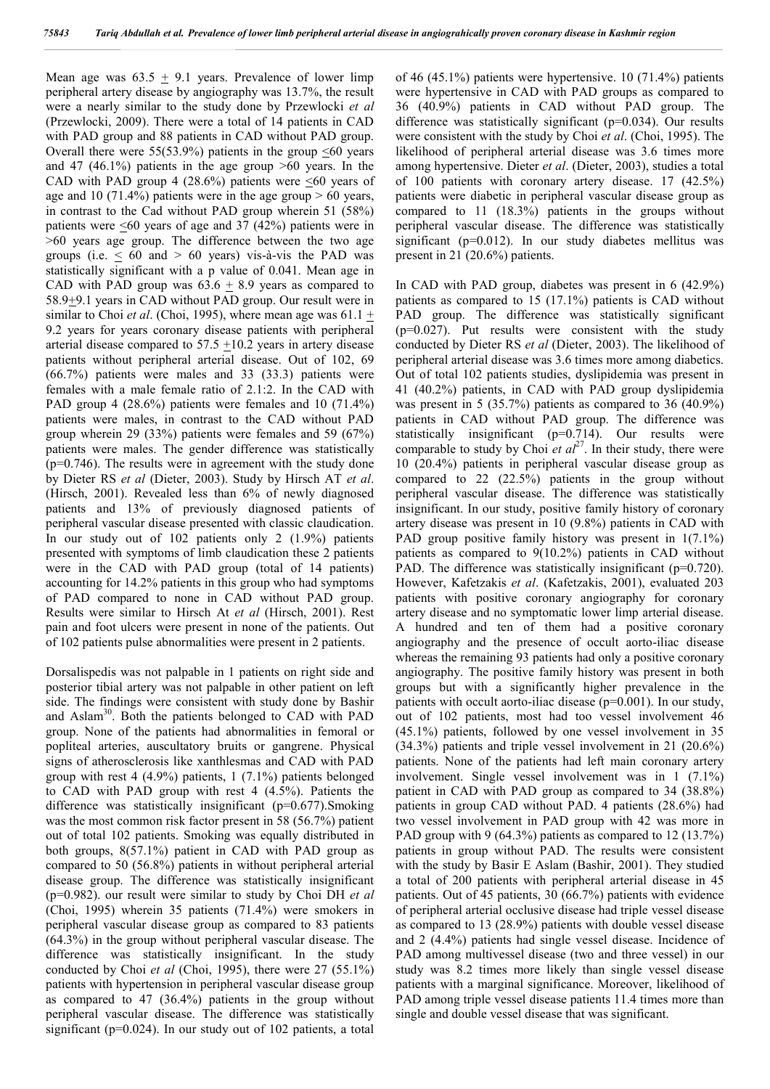Mean age was  $63.5 \pm 9.1$  years. Prevalence of lower limp peripheral artery disease by angiography was 13.7%, the result were a nearly similar to the study done by Przewlocki *et al* (Przewlocki, 2009). There were a total of 14 patients in CAD with PAD group and 88 patients in CAD without PAD group. Overall there were  $55(53.9%)$  patients in the group  $\leq 60$  years and 47 (46.1%) patients in the age group  $>60$  years. In the CAD with PAD group 4 (28.6%) patients were  $\leq 60$  years of age and 10 (71.4%) patients were in the age group  $> 60$  years, in contrast to the Cad without PAD group wherein 51 (58%) patients were <60 years of age and 37 (42%) patients were in >60 years age group. The difference between the two age groups (i.e.  $\leq 60$  and  $> 60$  years) vis-à-vis the PAD was statistically significant with a p value of 0.041. Mean age in CAD with PAD group was  $63.6 \pm 8.9$  years as compared to 58.9+9.1 years in CAD without PAD group. Our result were in similar to Choi *et al*. (Choi, 1995), where mean age was 61.1 + 9.2 years for years coronary disease patients with peripheral arterial disease compared to  $57.5 +10.2$  years in artery disease patients without peripheral arterial disease. Out of 102, 69 (66.7%) patients were males and 33 (33.3) patients were females with a male female ratio of 2.1:2. In the CAD with PAD group 4 (28.6%) patients were females and 10 (71.4%) patients were males, in contrast to the CAD without PAD group wherein 29 (33%) patients were females and 59 (67%) patients were males. The gender difference was statistically  $(p=0.746)$ . The results were in agreement with the study done by Dieter RS *et al* (Dieter, 2003). Study by Hirsch AT *et al*. (Hirsch, 2001). Revealed less than 6% of newly diagnosed patients and 13% of previously diagnosed patients of peripheral vascular disease presented with classic claudication. In our study out of 102 patients only 2 (1.9%) patients presented with symptoms of limb claudication these 2 patients were in the CAD with PAD group (total of 14 patients) accounting for 14.2% patients in this group who had symptoms of PAD compared to none in CAD without PAD group. Results were similar to Hirsch At *et al* (Hirsch, 2001). Rest pain and foot ulcers were present in none of the patients. Out of 102 patients pulse abnormalities were present in 2 patients.

Dorsalispedis was not palpable in 1 patients on right side and posterior tibial artery was not palpable in other patient on left side. The findings were consistent with study done by Bashir and Aslam30. Both the patients belonged to CAD with PAD group. None of the patients had abnormalities in femoral or popliteal arteries, auscultatory bruits or gangrene. Physical signs of atherosclerosis like xanthlesmas and CAD with PAD group with rest 4 (4.9%) patients, 1 (7.1%) patients belonged to CAD with PAD group with rest 4 (4.5%). Patients the difference was statistically insignificant (p=0.677).Smoking was the most common risk factor present in 58 (56.7%) patient out of total 102 patients. Smoking was equally distributed in both groups, 8(57.1%) patient in CAD with PAD group as compared to 50 (56.8%) patients in without peripheral arterial disease group. The difference was statistically insignificant (p=0.982). our result were similar to study by Choi DH *et al* (Choi, 1995) wherein 35 patients (71.4%) were smokers in peripheral vascular disease group as compared to 83 patients (64.3%) in the group without peripheral vascular disease. The difference was statistically insignificant. In the study conducted by Choi *et al* (Choi, 1995), there were 27 (55.1%) patients with hypertension in peripheral vascular disease group as compared to 47 (36.4%) patients in the group without peripheral vascular disease. The difference was statistically significant (p=0.024). In our study out of 102 patients, a total

of 46 (45.1%) patients were hypertensive. 10 (71.4%) patients were hypertensive in CAD with PAD groups as compared to 36 (40.9%) patients in CAD without PAD group. The difference was statistically significant (p=0.034). Our results were consistent with the study by Choi *et al*. (Choi, 1995). The likelihood of peripheral arterial disease was 3.6 times more among hypertensive. Dieter *et al*. (Dieter, 2003), studies a total of 100 patients with coronary artery disease. 17 (42.5%) patients were diabetic in peripheral vascular disease group as compared to 11 (18.3%) patients in the groups without peripheral vascular disease. The difference was statistically significant (p=0.012). In our study diabetes mellitus was present in 21 (20.6%) patients.

In CAD with PAD group, diabetes was present in 6 (42.9%) patients as compared to 15 (17.1%) patients is CAD without PAD group. The difference was statistically significant  $(p=0.027)$ . Put results were consistent with the study conducted by Dieter RS *et al* (Dieter, 2003). The likelihood of peripheral arterial disease was 3.6 times more among diabetics. Out of total 102 patients studies, dyslipidemia was present in 41 (40.2%) patients, in CAD with PAD group dyslipidemia was present in 5 (35.7%) patients as compared to 36 (40.9%) patients in CAD without PAD group. The difference was statistically insignificant  $(p=0.714)$ . Our results were comparable to study by Choi *et al*<sup>27</sup>. In their study, there were 10 (20.4%) patients in peripheral vascular disease group as compared to 22 (22.5%) patients in the group without peripheral vascular disease. The difference was statistically insignificant. In our study, positive family history of coronary artery disease was present in 10 (9.8%) patients in CAD with PAD group positive family history was present in  $1(7.1\%)$ patients as compared to 9(10.2%) patients in CAD without PAD. The difference was statistically insignificant (p=0.720). However, Kafetzakis *et al*. (Kafetzakis, 2001), evaluated 203 patients with positive coronary angiography for coronary artery disease and no symptomatic lower limp arterial disease. A hundred and ten of them had a positive coronary angiography and the presence of occult aorto-iliac disease whereas the remaining 93 patients had only a positive coronary angiography. The positive family history was present in both groups but with a significantly higher prevalence in the patients with occult aorto-iliac disease (p=0.001). In our study, out of 102 patients, most had too vessel involvement 46 (45.1%) patients, followed by one vessel involvement in 35 (34.3%) patients and triple vessel involvement in 21 (20.6%) patients. None of the patients had left main coronary artery involvement. Single vessel involvement was in 1 (7.1%) patient in CAD with PAD group as compared to 34 (38.8%) patients in group CAD without PAD. 4 patients (28.6%) had two vessel involvement in PAD group with 42 was more in PAD group with 9 (64.3%) patients as compared to 12 (13.7%) patients in group without PAD. The results were consistent with the study by Basir E Aslam (Bashir, 2001). They studied a total of 200 patients with peripheral arterial disease in 45 patients. Out of 45 patients, 30 (66.7%) patients with evidence of peripheral arterial occlusive disease had triple vessel disease as compared to 13 (28.9%) patients with double vessel disease and 2 (4.4%) patients had single vessel disease. Incidence of PAD among multivessel disease (two and three vessel) in our study was 8.2 times more likely than single vessel disease patients with a marginal significance. Moreover, likelihood of PAD among triple vessel disease patients 11.4 times more than single and double vessel disease that was significant.